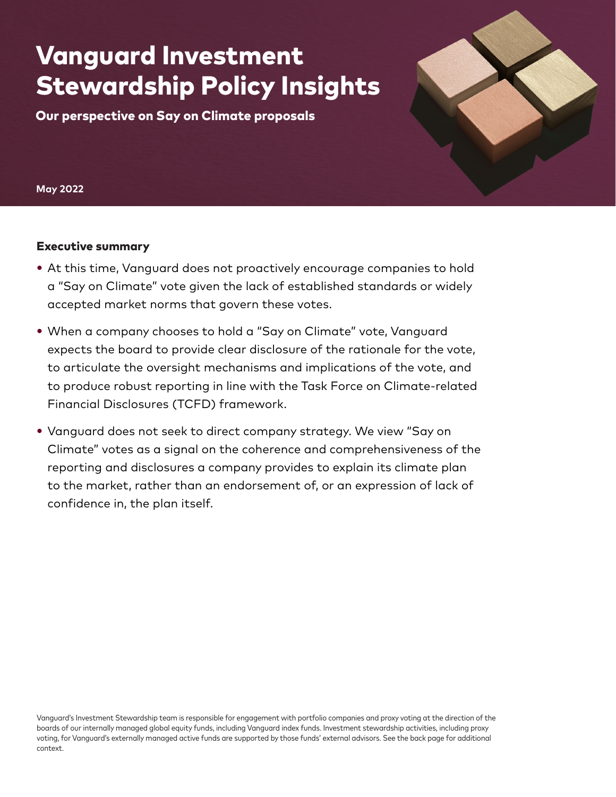# Vanguard Investment Stewardship Policy Insights

Our perspective on Say on Climate proposals

**May 2022**

### Executive summary

- At this time, Vanguard does not proactively encourage companies to hold a "Say on Climate" vote given the lack of established standards or widely accepted market norms that govern these votes.
- When a company chooses to hold a "Say on Climate" vote, Vanguard expects the board to provide clear disclosure of the rationale for the vote, to articulate the oversight mechanisms and implications of the vote, and to produce robust reporting in line with the Task Force on Climate-related Financial Disclosures (TCFD) framework.
- Vanguard does not seek to direct company strategy. We view "Say on Climate" votes as a signal on the coherence and comprehensiveness of the reporting and disclosures a company provides to explain its climate plan to the market, rather than an endorsement of, or an expression of lack of confidence in, the plan itself.

Vanguard's Investment Stewardship team is responsible for engagement with portfolio companies and proxy voting at the direction of the boards of our internally managed global equity funds, including Vanguard index funds. Investment stewardship activities, including proxy voting, for Vanguard's externally managed active funds are supported by those funds' external advisors. See the back page for additional context.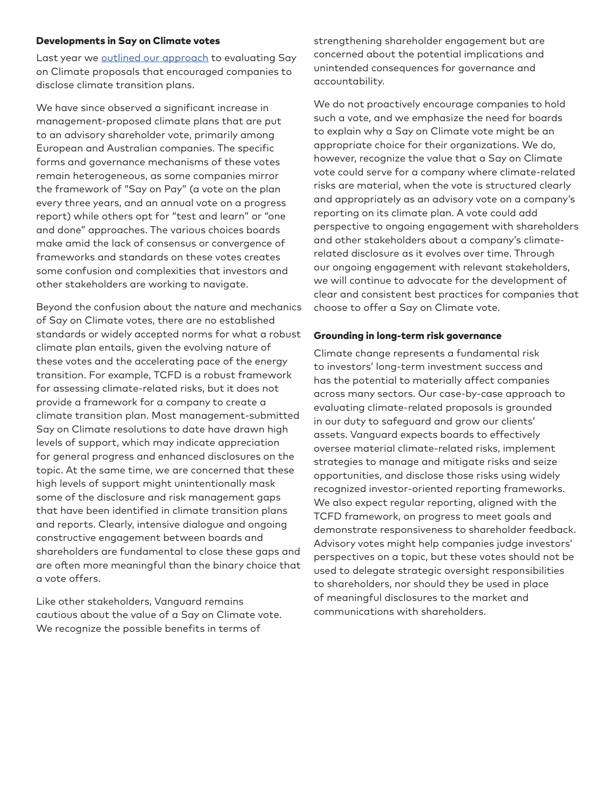#### Developments in Say on Climate votes

Last year we [outlined our approach](https://corporate.vanguard.com/content/dam/corp/advocate/investment-stewardship/pdf/perspectives-and-commentary/INSSAYC_052021.pdf) to evaluating Say on Climate proposals that encouraged companies to disclose climate transition plans.

We have since observed a significant increase in management-proposed climate plans that are put to an advisory shareholder vote, primarily among European and Australian companies. The specific forms and governance mechanisms of these votes remain heterogeneous, as some companies mirror the framework of "Say on Pay" (a vote on the plan every three years, and an annual vote on a progress report) while others opt for "test and learn" or "one and done" approaches. The various choices boards make amid the lack of consensus or convergence of frameworks and standards on these votes creates some confusion and complexities that investors and other stakeholders are working to navigate.

Beyond the confusion about the nature and mechanics of Say on Climate votes, there are no established standards or widely accepted norms for what a robust climate plan entails, given the evolving nature of these votes and the accelerating pace of the energy transition. For example, TCFD is a robust framework for assessing climate-related risks, but it does not provide a framework for a company to create a climate transition plan. Most management-submitted Say on Climate resolutions to date have drawn high levels of support, which may indicate appreciation for general progress and enhanced disclosures on the topic. At the same time, we are concerned that these high levels of support might unintentionally mask some of the disclosure and risk management gaps that have been identified in climate transition plans and reports. Clearly, intensive dialogue and ongoing constructive engagement between boards and shareholders are fundamental to close these gaps and are often more meaningful than the binary choice that a vote offers.

Like other stakeholders, Vanguard remains cautious about the value of a Say on Climate vote. We recognize the possible benefits in terms of

strengthening shareholder engagement but are concerned about the potential implications and unintended consequences for governance and accountability.

We do not proactively encourage companies to hold such a vote, and we emphasize the need for boards to explain why a Say on Climate vote might be an appropriate choice for their organizations. We do, however, recognize the value that a Say on Climate vote could serve for a company where climate-related risks are material, when the vote is structured clearly and appropriately as an advisory vote on a company's reporting on its climate plan. A vote could add perspective to ongoing engagement with shareholders and other stakeholders about a company's climaterelated disclosure as it evolves over time. Through our ongoing engagement with relevant stakeholders, we will continue to advocate for the development of clear and consistent best practices for companies that choose to offer a Say on Climate vote.

#### Grounding in long-term risk governance

Climate change represents a fundamental risk to investors' long-term investment success and has the potential to materially affect companies across many sectors. Our case-by-case approach to evaluating climate-related proposals is grounded in our duty to safeguard and grow our clients' assets. Vanguard expects boards to effectively oversee material climate-related risks, implement strategies to manage and mitigate risks and seize opportunities, and disclose those risks using widely recognized investor-oriented reporting frameworks. We also expect regular reporting, aligned with the TCFD framework, on progress to meet goals and demonstrate responsiveness to shareholder feedback. Advisory votes might help companies judge investors' perspectives on a topic, but these votes should not be used to delegate strategic oversight responsibilities to shareholders, nor should they be used in place of meaningful disclosures to the market and communications with shareholders.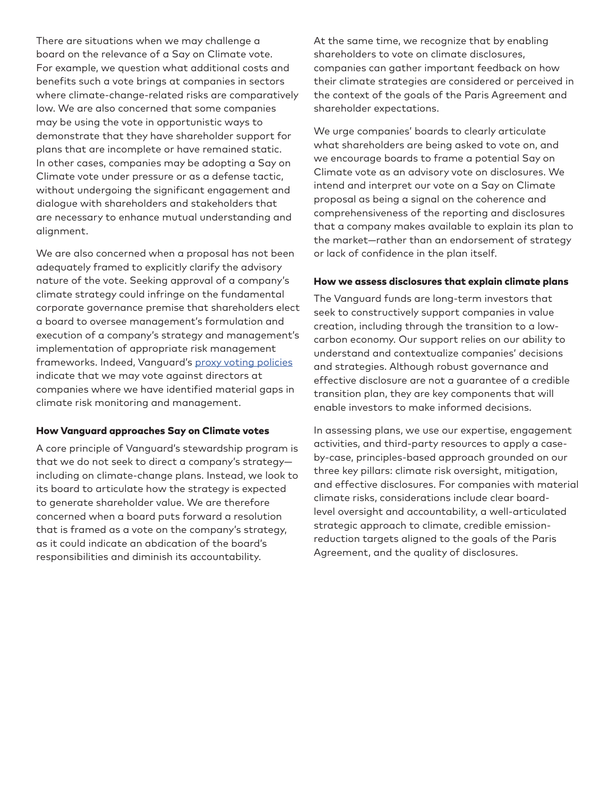There are situations when we may challenge a board on the relevance of a Say on Climate vote. For example, we question what additional costs and benefits such a vote brings at companies in sectors where climate-change-related risks are comparatively low. We are also concerned that some companies may be using the vote in opportunistic ways to demonstrate that they have shareholder support for plans that are incomplete or have remained static. In other cases, companies may be adopting a Say on Climate vote under pressure or as a defense tactic, without undergoing the significant engagement and dialogue with shareholders and stakeholders that are necessary to enhance mutual understanding and alignment.

We are also concerned when a proposal has not been adequately framed to explicitly clarify the advisory nature of the vote. Seeking approval of a company's climate strategy could infringe on the fundamental corporate governance premise that shareholders elect a board to oversee management's formulation and execution of a company's strategy and management's implementation of appropriate risk management frameworks. Indeed, Vanguard's [proxy voting policies](https://corporate.vanguard.com/content/corporatesite/us/en/corp/how-we-advocate/investment-stewardship/reports-and-policies.html) indicate that we may vote against directors at companies where we have identified material gaps in climate risk monitoring and management.

#### How Vanguard approaches Say on Climate votes

A core principle of Vanguard's stewardship program is that we do not seek to direct a company's strategy including on climate-change plans. Instead, we look to its board to articulate how the strategy is expected to generate shareholder value. We are therefore concerned when a board puts forward a resolution that is framed as a vote on the company's strategy, as it could indicate an abdication of the board's responsibilities and diminish its accountability.

At the same time, we recognize that by enabling shareholders to vote on climate disclosures, companies can gather important feedback on how their climate strategies are considered or perceived in the context of the goals of the Paris Agreement and shareholder expectations.

We urge companies' boards to clearly articulate what shareholders are being asked to vote on, and we encourage boards to frame a potential Say on Climate vote as an advisory vote on disclosures. We intend and interpret our vote on a Say on Climate proposal as being a signal on the coherence and comprehensiveness of the reporting and disclosures that a company makes available to explain its plan to the market—rather than an endorsement of strategy or lack of confidence in the plan itself.

#### How we assess disclosures that explain climate plans

The Vanguard funds are long-term investors that seek to constructively support companies in value creation, including through the transition to a lowcarbon economy. Our support relies on our ability to understand and contextualize companies' decisions and strategies. Although robust governance and effective disclosure are not a guarantee of a credible transition plan, they are key components that will enable investors to make informed decisions.

In assessing plans, we use our expertise, engagement activities, and third-party resources to apply a caseby-case, principles-based approach grounded on our three key pillars: climate risk oversight, mitigation, and effective disclosures. For companies with material climate risks, considerations include clear boardlevel oversight and accountability, a well-articulated strategic approach to climate, credible emissionreduction targets aligned to the goals of the Paris Agreement, and the quality of disclosures.